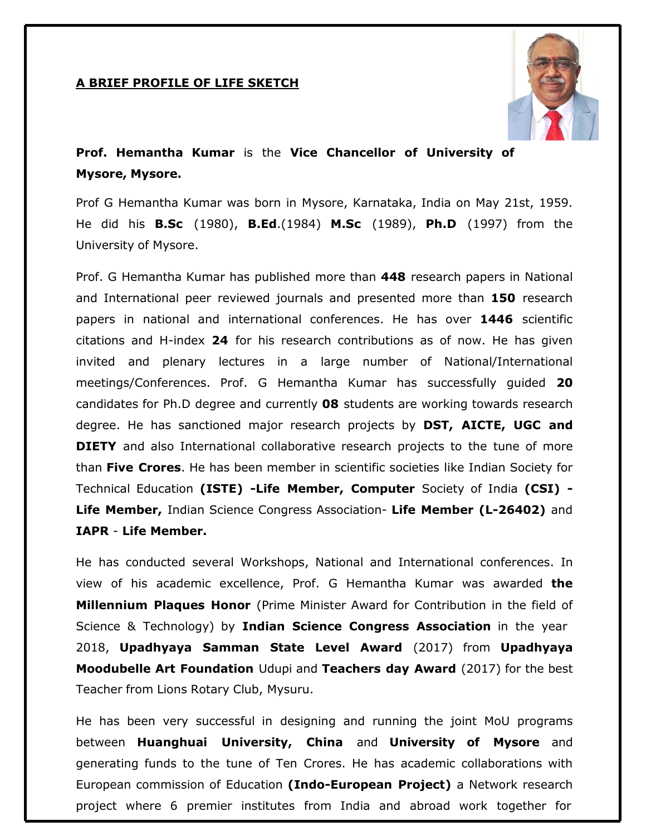## **A BRIEF PROFILE OF LIFE SKETCH**



## **Prof. Hemantha Kumar** is the **Vice Chancellor of University of Mysore, Mysore.**

Prof G Hemantha Kumar was born in Mysore, Karnataka, India on May 21st, 1959. He did his **B.Sc** (1980), **B.Ed**.(1984) **M.Sc** (1989), **Ph.D** (1997) from the University of Mysore.

Prof. G Hemantha Kumar has published more than **448** research papers in National and International peer reviewed journals and presented more than **150** research papers in national and international conferences. He has over **1446** scientific citations and H-index **24** for his research contributions as of now. He has given invited and plenary lectures in a large number of National/International meetings/Conferences. Prof. G Hemantha Kumar has successfully guided **20**  candidates for Ph.D degree and currently **08** students are working towards research degree. He has sanctioned major research projects by **DST, AICTE, UGC and DIETY** and also International collaborative research projects to the tune of more than **Five Crores**. He has been member in scientific societies like Indian Society for Technical Education **(ISTE) -Life Member, Computer** Society of India **(CSI) - Life Member,** Indian Science Congress Association- **Life Member (L-26402)** and **IAPR** - **Life Member.**

He has conducted several Workshops, National and International conferences. In view of his academic excellence, Prof. G Hemantha Kumar was awarded **the Millennium Plaques Honor** (Prime Minister Award for Contribution in the field of Science & Technology) by **Indian Science Congress Association** in the year 2018, **Upadhyaya Samman State Level Award** (2017) from **Upadhyaya Moodubelle Art Foundation** Udupi and **Teachers day Award** (2017) for the best Teacher from Lions Rotary Club, Mysuru.

He has been very successful in designing and running the joint MoU programs between **Huanghuai University, China** and **University of Mysore** and generating funds to the tune of Ten Crores. He has academic collaborations with European commission of Education **(Indo-European Project)** a Network research project where 6 premier institutes from India and abroad work together for